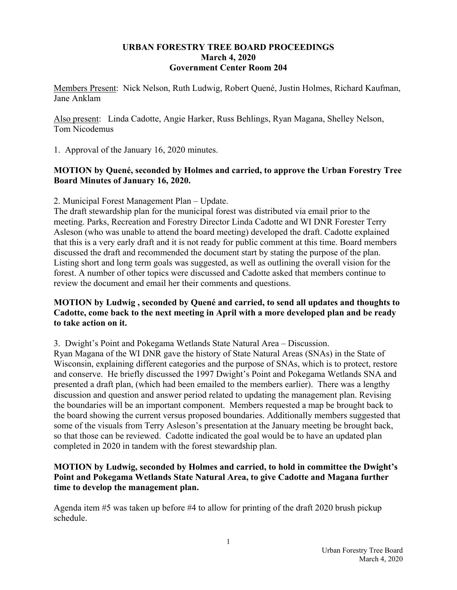## **URBAN FORESTRY TREE BOARD PROCEEDINGS March 4, 2020 Government Center Room 204**

Members Present: Nick Nelson, Ruth Ludwig, Robert Quené, Justin Holmes, Richard Kaufman, Jane Anklam

Also present: Linda Cadotte, Angie Harker, Russ Behlings, Ryan Magana, Shelley Nelson, Tom Nicodemus

1. Approval of the January 16, 2020 minutes.

## **MOTION by Quené, seconded by Holmes and carried, to approve the Urban Forestry Tree Board Minutes of January 16, 2020.**

2. Municipal Forest Management Plan – Update.

The draft stewardship plan for the municipal forest was distributed via email prior to the meeting. Parks, Recreation and Forestry Director Linda Cadotte and WI DNR Forester Terry Asleson (who was unable to attend the board meeting) developed the draft. Cadotte explained that this is a very early draft and it is not ready for public comment at this time. Board members discussed the draft and recommended the document start by stating the purpose of the plan. Listing short and long term goals was suggested, as well as outlining the overall vision for the forest. A number of other topics were discussed and Cadotte asked that members continue to review the document and email her their comments and questions.

## **MOTION by Ludwig , seconded by Quené and carried, to send all updates and thoughts to Cadotte, come back to the next meeting in April with a more developed plan and be ready to take action on it.**

3. Dwight's Point and Pokegama Wetlands State Natural Area – Discussion.

Ryan Magana of the WI DNR gave the history of State Natural Areas (SNAs) in the State of Wisconsin, explaining different categories and the purpose of SNAs, which is to protect, restore and conserve. He briefly discussed the 1997 Dwight's Point and Pokegama Wetlands SNA and presented a draft plan, (which had been emailed to the members earlier). There was a lengthy discussion and question and answer period related to updating the management plan. Revising the boundaries will be an important component. Members requested a map be brought back to the board showing the current versus proposed boundaries. Additionally members suggested that some of the visuals from Terry Asleson's presentation at the January meeting be brought back, so that those can be reviewed. Cadotte indicated the goal would be to have an updated plan completed in 2020 in tandem with the forest stewardship plan.

## **MOTION by Ludwig, seconded by Holmes and carried, to hold in committee the Dwight's Point and Pokegama Wetlands State Natural Area, to give Cadotte and Magana further time to develop the management plan.**

Agenda item #5 was taken up before #4 to allow for printing of the draft 2020 brush pickup schedule.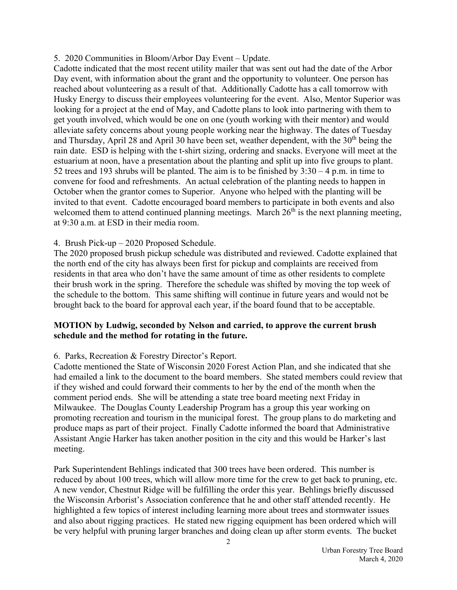## 5. 2020 Communities in Bloom/Arbor Day Event – Update.

Cadotte indicated that the most recent utility mailer that was sent out had the date of the Arbor Day event, with information about the grant and the opportunity to volunteer. One person has reached about volunteering as a result of that. Additionally Cadotte has a call tomorrow with Husky Energy to discuss their employees volunteering for the event. Also, Mentor Superior was looking for a project at the end of May, and Cadotte plans to look into partnering with them to get youth involved, which would be one on one (youth working with their mentor) and would alleviate safety concerns about young people working near the highway. The dates of Tuesday and Thursday, April 28 and April 30 have been set, weather dependent, with the 30<sup>th</sup> being the rain date. ESD is helping with the t-shirt sizing, ordering and snacks. Everyone will meet at the estuarium at noon, have a presentation about the planting and split up into five groups to plant. 52 trees and 193 shrubs will be planted. The aim is to be finished by  $3:30 - 4$  p.m. in time to convene for food and refreshments. An actual celebration of the planting needs to happen in October when the grantor comes to Superior. Anyone who helped with the planting will be invited to that event. Cadotte encouraged board members to participate in both events and also welcomed them to attend continued planning meetings. March  $26<sup>th</sup>$  is the next planning meeting, at 9:30 a.m. at ESD in their media room.

## 4. Brush Pick-up – 2020 Proposed Schedule.

The 2020 proposed brush pickup schedule was distributed and reviewed. Cadotte explained that the north end of the city has always been first for pickup and complaints are received from residents in that area who don't have the same amount of time as other residents to complete their brush work in the spring. Therefore the schedule was shifted by moving the top week of the schedule to the bottom. This same shifting will continue in future years and would not be brought back to the board for approval each year, if the board found that to be acceptable.

## **MOTION by Ludwig, seconded by Nelson and carried, to approve the current brush schedule and the method for rotating in the future.**

## 6. Parks, Recreation & Forestry Director's Report.

Cadotte mentioned the State of Wisconsin 2020 Forest Action Plan, and she indicated that she had emailed a link to the document to the board members. She stated members could review that if they wished and could forward their comments to her by the end of the month when the comment period ends. She will be attending a state tree board meeting next Friday in Milwaukee. The Douglas County Leadership Program has a group this year working on promoting recreation and tourism in the municipal forest. The group plans to do marketing and produce maps as part of their project. Finally Cadotte informed the board that Administrative Assistant Angie Harker has taken another position in the city and this would be Harker's last meeting.

Park Superintendent Behlings indicated that 300 trees have been ordered. This number is reduced by about 100 trees, which will allow more time for the crew to get back to pruning, etc. A new vendor, Chestnut Ridge will be fulfilling the order this year. Behlings briefly discussed the Wisconsin Arborist's Association conference that he and other staff attended recently. He highlighted a few topics of interest including learning more about trees and stormwater issues and also about rigging practices. He stated new rigging equipment has been ordered which will be very helpful with pruning larger branches and doing clean up after storm events. The bucket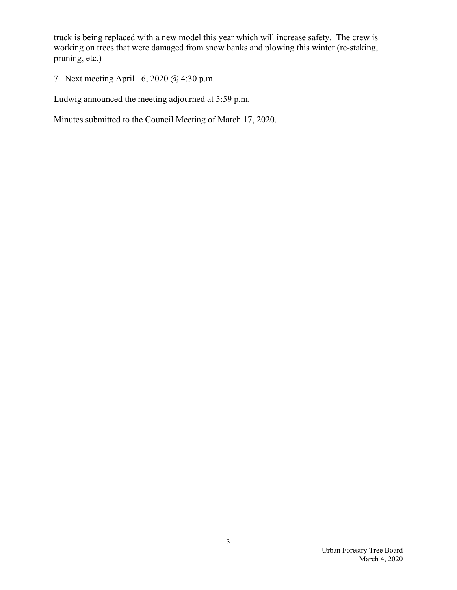truck is being replaced with a new model this year which will increase safety. The crew is working on trees that were damaged from snow banks and plowing this winter (re-staking, pruning, etc.)

7. Next meeting April 16, 2020 @ 4:30 p.m.

Ludwig announced the meeting adjourned at 5:59 p.m.

Minutes submitted to the Council Meeting of March 17, 2020.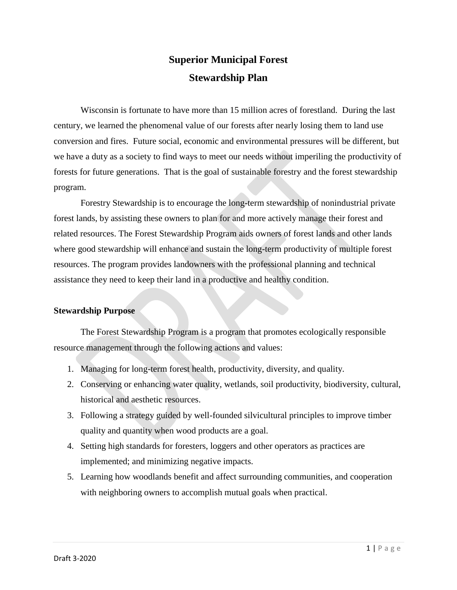# **Superior Municipal Forest Stewardship Plan**

Wisconsin is fortunate to have more than 15 million acres of forestland. During the last century, we learned the phenomenal value of our forests after nearly losing them to land use conversion and fires. Future social, economic and environmental pressures will be different, but we have a duty as a society to find ways to meet our needs without imperiling the productivity of forests for future generations. That is the goal of sustainable forestry and the forest stewardship program.

Forestry Stewardship is to encourage the long-term stewardship of nonindustrial private forest lands, by assisting these owners to plan for and more actively manage their forest and related resources. The Forest Stewardship Program aids owners of forest lands and other lands where good stewardship will enhance and sustain the long-term productivity of multiple forest resources. The program provides landowners with the professional planning and technical assistance they need to keep their land in a productive and healthy condition.

## **Stewardship Purpose**

The Forest Stewardship Program is a program that promotes ecologically responsible resource management through the following actions and values:

- 1. Managing for long-term forest health, productivity, diversity, and quality.
- 2. Conserving or enhancing water quality, wetlands, soil productivity, biodiversity, cultural, historical and aesthetic resources.
- 3. Following a strategy guided by well-founded silvicultural principles to improve timber quality and quantity when wood products are a goal.
- 4. Setting high standards for foresters, loggers and other operators as practices are implemented; and minimizing negative impacts.
- 5. Learning how woodlands benefit and affect surrounding communities, and cooperation with neighboring owners to accomplish mutual goals when practical.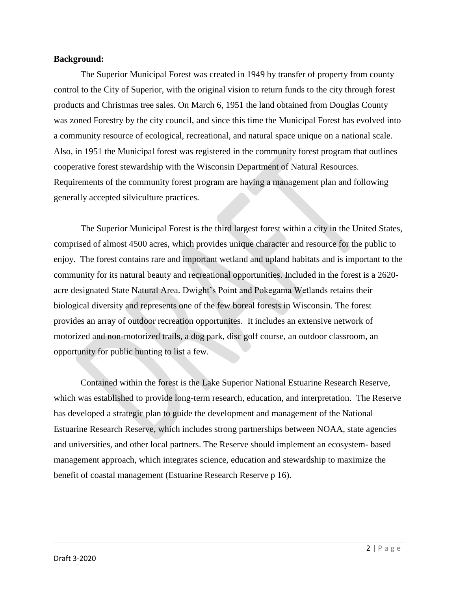#### **Background:**

The Superior Municipal Forest was created in 1949 by transfer of property from county control to the City of Superior, with the original vision to return funds to the city through forest products and Christmas tree sales. On March 6, 1951 the land obtained from Douglas County was zoned Forestry by the city council, and since this time the Municipal Forest has evolved into a community resource of ecological, recreational, and natural space unique on a national scale. Also, in 1951 the Municipal forest was registered in the community forest program that outlines cooperative forest stewardship with the Wisconsin Department of Natural Resources. Requirements of the community forest program are having a management plan and following generally accepted silviculture practices.

The Superior Municipal Forest is the third largest forest within a city in the United States, comprised of almost 4500 acres, which provides unique character and resource for the public to enjoy. The forest contains rare and important wetland and upland habitats and is important to the community for its natural beauty and recreational opportunities. Included in the forest is a 2620 acre designated State Natural Area. Dwight's Point and Pokegama Wetlands retains their biological diversity and represents one of the few boreal forests in Wisconsin. The forest provides an array of outdoor recreation opportunites. It includes an extensive network of motorized and non-motorized trails, a dog park, disc golf course, an outdoor classroom, an opportunity for public hunting to list a few.

Contained within the forest is the Lake Superior National Estuarine Research Reserve, which was established to provide long-term research, education, and interpretation. The Reserve has developed a strategic plan to guide the development and management of the National Estuarine Research Reserve, which includes strong partnerships between NOAA, state agencies and universities, and other local partners. The Reserve should implement an ecosystem- based management approach, which integrates science, education and stewardship to maximize the benefit of coastal management (Estuarine Research Reserve p 16).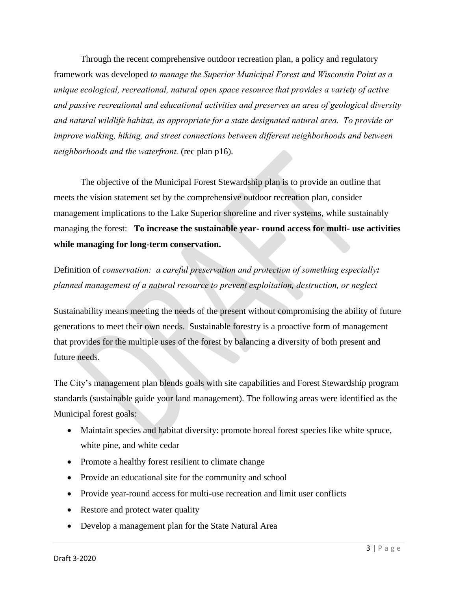Through the recent comprehensive outdoor recreation plan, a policy and regulatory framework was developed *to manage the Superior Municipal Forest and Wisconsin Point as a unique ecological, recreational, natural open space resource that provides a variety of active and passive recreational and educational activities and preserves an area of geological diversity and natural wildlife habitat, as appropriate for a state designated natural area. To provide or improve walking, hiking, and street connections between different neighborhoods and between neighborhoods and the waterfront.* (rec plan p16).

The objective of the Municipal Forest Stewardship plan is to provide an outline that meets the vision statement set by the comprehensive outdoor recreation plan, consider management implications to the Lake Superior shoreline and river systems, while sustainably managing the forest: **To increase the sustainable year- round access for multi- use activities while managing for long-term conservation.** 

Definition of *conservation: a careful preservation and protection of something especially: planned management of a natural resource to prevent exploitation, destruction, or neglect* 

Sustainability means meeting the needs of the present without compromising the ability of future generations to meet their own needs. Sustainable forestry is a proactive form of management that provides for the multiple uses of the forest by balancing a diversity of both present and future needs.

The City's management plan blends goals with site capabilities and Forest Stewardship program standards (sustainable guide your land management). The following areas were identified as the Municipal forest goals:

- Maintain species and habitat diversity: promote boreal forest species like white spruce, white pine, and white cedar
- Promote a healthy forest resilient to climate change
- Provide an educational site for the community and school
- Provide year-round access for multi-use recreation and limit user conflicts
- Restore and protect water quality
- Develop a management plan for the State Natural Area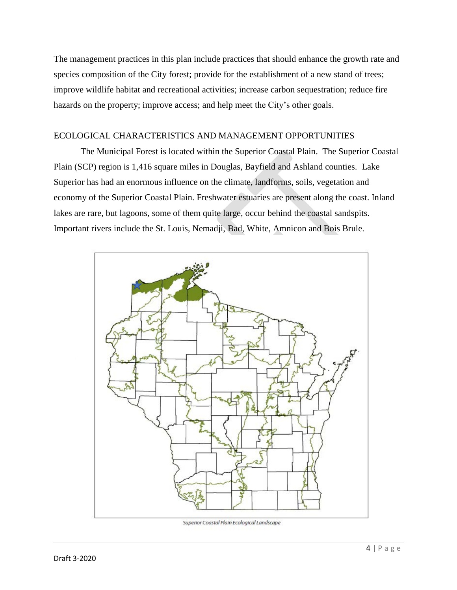The management practices in this plan include practices that should enhance the growth rate and species composition of the City forest; provide for the establishment of a new stand of trees; improve wildlife habitat and recreational activities; increase carbon sequestration; reduce fire hazards on the property; improve access; and help meet the City's other goals.

#### ECOLOGICAL CHARACTERISTICS AND MANAGEMENT OPPORTUNITIES

The Municipal Forest is located within the Superior Coastal Plain. The Superior Coastal Plain (SCP) region is 1,416 square miles in Douglas, Bayfield and Ashland counties. Lake Superior has had an enormous influence on the climate, landforms, soils, vegetation and economy of the Superior Coastal Plain. Freshwater estuaries are present along the coast. Inland lakes are rare, but lagoons, some of them quite large, occur behind the coastal sandspits. Important rivers include the St. Louis, Nemadji, Bad, White, Amnicon and Bois Brule.



Superior Coastal Plain Ecological Landscape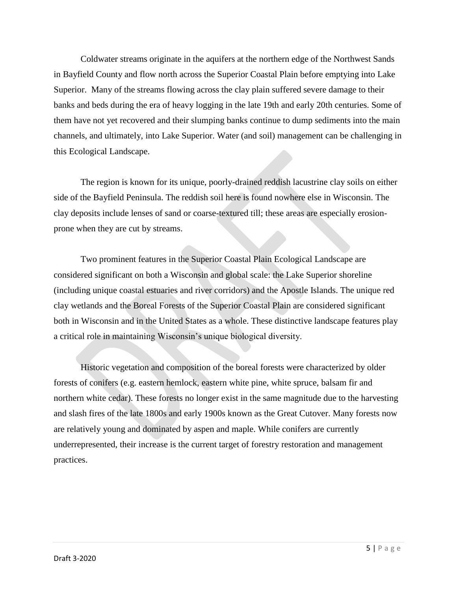Coldwater streams originate in the aquifers at the northern edge of the Northwest Sands in Bayfield County and flow north across the Superior Coastal Plain before emptying into Lake Superior. Many of the streams flowing across the clay plain suffered severe damage to their banks and beds during the era of heavy logging in the late 19th and early 20th centuries. Some of them have not yet recovered and their slumping banks continue to dump sediments into the main channels, and ultimately, into Lake Superior. Water (and soil) management can be challenging in this Ecological Landscape.

The region is known for its unique, poorly-drained reddish lacustrine clay soils on either side of the Bayfield Peninsula. The reddish soil here is found nowhere else in Wisconsin. The clay deposits include lenses of sand or coarse-textured till; these areas are especially erosionprone when they are cut by streams.

Two prominent features in the Superior Coastal Plain Ecological Landscape are considered significant on both a Wisconsin and global scale: the Lake Superior shoreline (including unique coastal estuaries and river corridors) and the Apostle Islands. The unique red clay wetlands and the Boreal Forests of the Superior Coastal Plain are considered significant both in Wisconsin and in the United States as a whole. These distinctive landscape features play a critical role in maintaining Wisconsin's unique biological diversity.

Historic vegetation and composition of the boreal forests were characterized by older forests of conifers (e.g. eastern hemlock, eastern white pine, white spruce, balsam fir and northern white cedar). These forests no longer exist in the same magnitude due to the harvesting and slash fires of the late 1800s and early 1900s known as the Great Cutover. Many forests now are relatively young and dominated by aspen and maple. While conifers are currently underrepresented, their increase is the current target of forestry restoration and management practices.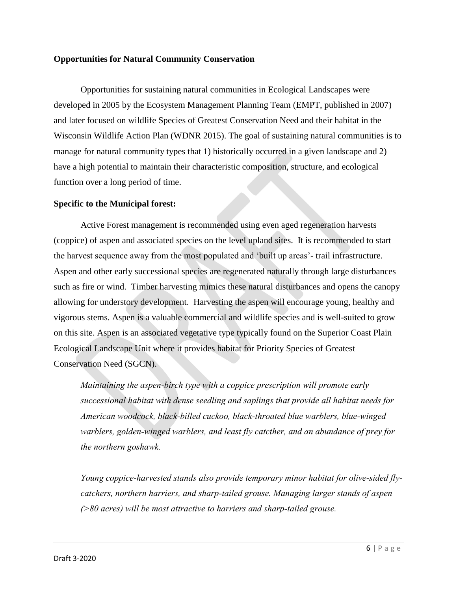## **Opportunities for Natural Community Conservation**

Opportunities for sustaining natural communities in Ecological Landscapes were developed in 2005 by the Ecosystem Management Planning Team (EMPT, published in 2007) and later focused on wildlife Species of Greatest Conservation Need and their habitat in the Wisconsin Wildlife Action Plan (WDNR 2015). The goal of sustaining natural communities is to manage for natural community types that 1) historically occurred in a given landscape and 2) have a high potential to maintain their characteristic composition, structure, and ecological function over a long period of time.

#### **Specific to the Municipal forest:**

Active Forest management is recommended using even aged regeneration harvests (coppice) of aspen and associated species on the level upland sites. It is recommended to start the harvest sequence away from the most populated and 'built up areas'- trail infrastructure. Aspen and other early successional species are regenerated naturally through large disturbances such as fire or wind. Timber harvesting mimics these natural disturbances and opens the canopy allowing for understory development. Harvesting the aspen will encourage young, healthy and vigorous stems. Aspen is a valuable commercial and wildlife species and is well-suited to grow on this site. Aspen is an associated vegetative type typically found on the Superior Coast Plain Ecological Landscape Unit where it provides habitat for Priority Species of Greatest Conservation Need (SGCN).

*Maintaining the aspen-birch type with a coppice prescription will promote early successional habitat with dense seedling and saplings that provide all habitat needs for American woodcock, black-billed cuckoo, black-throated blue warblers, blue-winged warblers, golden-winged warblers, and least fly catcther, and an abundance of prey for the northern goshawk.*

*Young coppice-harvested stands also provide temporary minor habitat for olive-sided flycatchers, northern harriers, and sharp-tailed grouse. Managing larger stands of aspen (>80 acres) will be most attractive to harriers and sharp-tailed grouse.*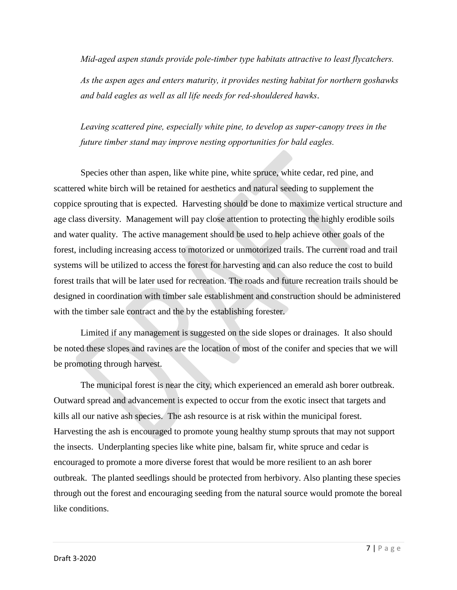*Mid-aged aspen stands provide pole-timber type habitats attractive to least flycatchers. As the aspen ages and enters maturity, it provides nesting habitat for northern goshawks and bald eagles as well as all life needs for red-shouldered hawks*.

*Leaving scattered pine, especially white pine, to develop as super-canopy trees in the future timber stand may improve nesting opportunities for bald eagles.* 

Species other than aspen, like white pine, white spruce, white cedar, red pine, and scattered white birch will be retained for aesthetics and natural seeding to supplement the coppice sprouting that is expected. Harvesting should be done to maximize vertical structure and age class diversity. Management will pay close attention to protecting the highly erodible soils and water quality. The active management should be used to help achieve other goals of the forest, including increasing access to motorized or unmotorized trails. The current road and trail systems will be utilized to access the forest for harvesting and can also reduce the cost to build forest trails that will be later used for recreation. The roads and future recreation trails should be designed in coordination with timber sale establishment and construction should be administered with the timber sale contract and the by the establishing forester.

Limited if any management is suggested on the side slopes or drainages. It also should be noted these slopes and ravines are the location of most of the conifer and species that we will be promoting through harvest.

The municipal forest is near the city, which experienced an emerald ash borer outbreak. Outward spread and advancement is expected to occur from the exotic insect that targets and kills all our native ash species. The ash resource is at risk within the municipal forest. Harvesting the ash is encouraged to promote young healthy stump sprouts that may not support the insects. Underplanting species like white pine, balsam fir, white spruce and cedar is encouraged to promote a more diverse forest that would be more resilient to an ash borer outbreak. The planted seedlings should be protected from herbivory. Also planting these species through out the forest and encouraging seeding from the natural source would promote the boreal like conditions.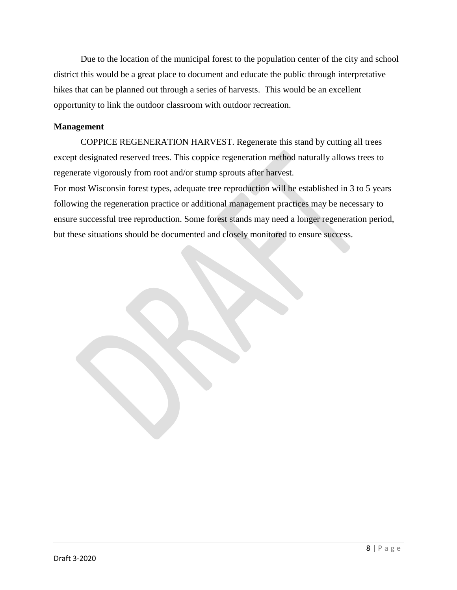Due to the location of the municipal forest to the population center of the city and school district this would be a great place to document and educate the public through interpretative hikes that can be planned out through a series of harvests. This would be an excellent opportunity to link the outdoor classroom with outdoor recreation.

## **Management**

COPPICE REGENERATION HARVEST. Regenerate this stand by cutting all trees except designated reserved trees. This coppice regeneration method naturally allows trees to regenerate vigorously from root and/or stump sprouts after harvest.

For most Wisconsin forest types, adequate tree reproduction will be established in 3 to 5 years following the regeneration practice or additional management practices may be necessary to ensure successful tree reproduction. Some forest stands may need a longer regeneration period, but these situations should be documented and closely monitored to ensure success.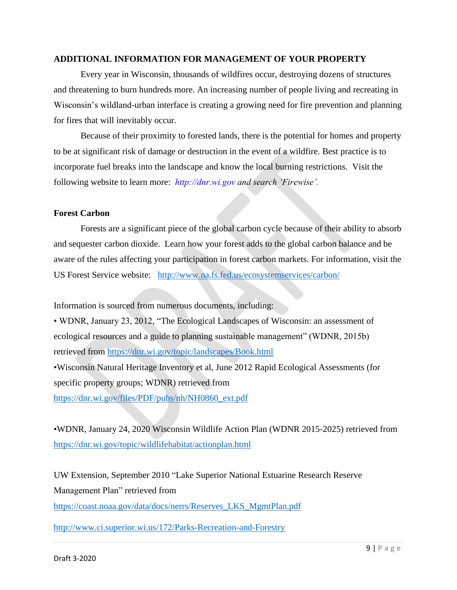## **ADDITIONAL INFORMATION FOR MANAGEMENT OF YOUR PROPERTY**

Every year in Wisconsin, thousands of wildfires occur, destroying dozens of structures and threatening to burn hundreds more. An increasing number of people living and recreating in Wisconsin's wildland-urban interface is creating a growing need for fire prevention and planning for fires that will inevitably occur.

Because of their proximity to forested lands, there is the potential for homes and property to be at significant risk of damage or destruction in the event of a wildfire. Best practice is to incorporate fuel breaks into the landscape and know the local burning restrictions. Visit the following website to learn more: *http://dnr.wi.gov and search 'Firewise'.*

## **Forest Carbon**

Forests are a significant piece of the global carbon cycle because of their ability to absorb and sequester carbon dioxide. Learn how your forest adds to the global carbon balance and be aware of the rules affecting your participation in forest carbon markets. For information, visit the US Forest Service website: <http://www.na.fs.fed.us/ecosystemservices/carbon/>

Information is sourced from numerous documents, including:

• WDNR, January 23, 2012, "The Ecological Landscapes of Wisconsin: an assessment of ecological resources and a guide to planning sustainable management" (WDNR, 2015b) retrieved from<https://dnr.wi.gov/topic/landscapes/Book.html> •Wisconsin Natural Heritage Inventory et al, June 2012 Rapid Ecological Assessments (for specific property groups; WDNR) retrieved from [https://dnr.wi.gov/files/PDF/pubs/nh/NH0860\\_ext.pdf](https://dnr.wi.gov/files/PDF/pubs/nh/NH0860_ext.pdf)

•WDNR, January 24, 2020 Wisconsin Wildlife Action Plan (WDNR 2015-2025) retrieved from <https://dnr.wi.gov/topic/wildlifehabitat/actionplan.html>

UW Extension, September 2010 "Lake Superior National Estuarine Research Reserve Management Plan" retrieved from

[https://coast.noaa.gov/data/docs/nerrs/Reserves\\_LKS\\_MgmtPlan.pdf](https://coast.noaa.gov/data/docs/nerrs/Reserves_LKS_MgmtPlan.pdf)

<http://www.ci.superior.wi.us/172/Parks-Recreation-and-Forestry>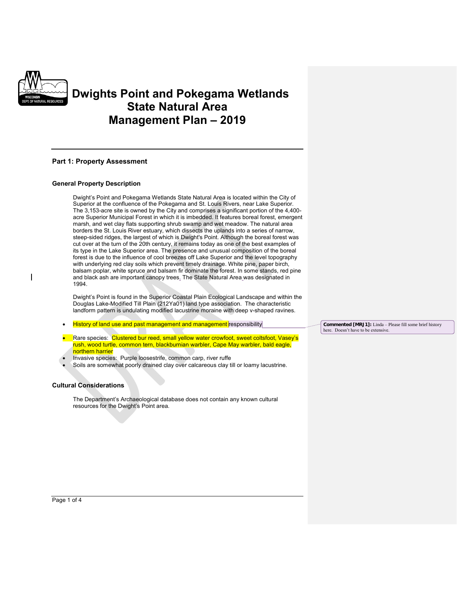

# **Dwights Point and Pokegama Wetlands State Natural Area Management Plan – 2019**

#### **Part 1: Property Assessment**

#### **General Property Description**

Dwight's Point and Pokegama Wetlands State Natural Area is located within the City of Superior at the confluence of the Pokegama and St. Louis Rivers, near Lake Superior. The 3,153-acre site is owned by the City and comprises a significant portion of the 4,400 acre Superior Municipal Forest in which it is imbedded. It features boreal forest, emergent marsh, and wet clay flats supporting shrub swamp and wet meadow. The natural area borders the St. Louis River estuary, which dissects the uplands into a series of narrow, steep-sided ridges, the largest of which is Dwight's Point. Although the boreal forest was cut over at the turn of the 20th century, it remains today as one of the best examples of its type in the Lake Superior area. The presence and unusual composition of the boreal forest is due to the influence of cool breezes off Lake Superior and the level topography with underlying red clay soils which prevent timely drainage. White pine, paper birch, balsam poplar, white spruce and balsam fir dominate the forest. In some stands, red pine and black ash are important canopy trees. The State Natural Area was designated in 1994.

Dwight's Point is found in the Superior Coastal Plain Ecological Landscape and within the Douglas Lake-Modified Till Plain (212Ya01) land type association. The characteristic landform pattern is undulating modified lacustrine moraine with deep v-shaped ravines.

- History of land use and past management and management responsibility
- Rare species: Clustered bur reed, small yellow water crowfoot, sweet coltsfoot, Vasey's rush, wood turtle, common tern, blackburnian warbler, Cape May warbler, bald eagle, northern harrier
- Invasive species: Purple loosestrife, common carp, river ruffe
- Soils are somewhat poorly drained clay over calcareous clay till or loamy lacustrine.

#### **Cultural Considerations**

The Department's Archaeological database does not contain any known cultural resources for the Dwight's Point area.

**Commented [MRJ1]:** Linda – Please fill some brief history here. Doesn't have to be extensive.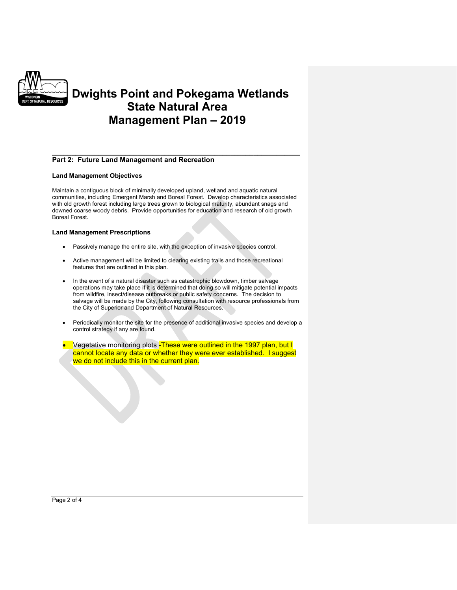

# **Dwights Point and Pokegama Wetlands State Natural Area Management Plan – 2019**

#### **Part 2: Future Land Management and Recreation**

#### **Land Management Objectives**

Maintain a contiguous block of minimally developed upland, wetland and aquatic natural communities, including Emergent Marsh and Boreal Forest. Develop characteristics associated with old growth forest including large trees grown to biological maturity, abundant snags and downed coarse woody debris. Provide opportunities for education and research of old growth Boreal Forest.

**\_\_\_\_\_\_\_\_\_\_\_\_\_\_\_\_\_\_\_\_\_\_\_\_\_\_\_\_\_\_\_\_\_\_\_\_\_\_\_\_\_\_\_\_\_\_\_\_\_\_\_\_\_\_\_\_\_\_\_\_\_\_\_\_**

#### **Land Management Prescriptions**

- Passively manage the entire site, with the exception of invasive species control.
- Active management will be limited to clearing existing trails and those recreational features that are outlined in this plan.
- In the event of a natural disaster such as catastrophic blowdown, timber salvage operations may take place if it is determined that doing so will mitigate potential impacts from wildfire, insect/disease outbreaks or public safety concerns. The decision to salvage will be made by the City, following consultation with resource professionals from the City of Superior and Department of Natural Resources.
- Periodically monitor the site for the presence of additional invasive species and develop a control strategy if any are found.
- Vegetative monitoring plots These were outlined in the 1997 plan, but I cannot locate any data or whether they were ever established. I suggest we do not include this in the current plan.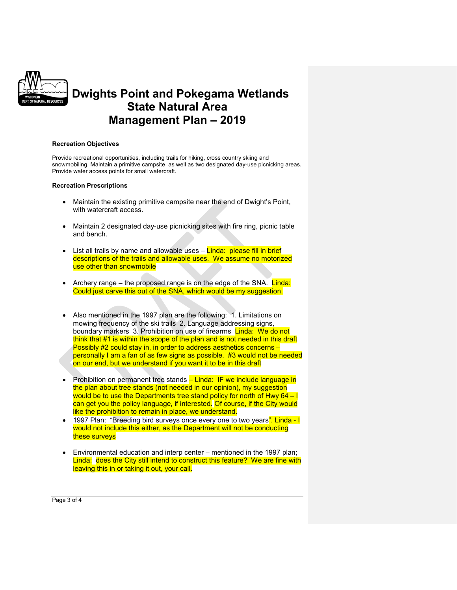

# **Dwights Point and Pokegama Wetlands State Natural Area Management Plan – 2019**

#### **Recreation Objectives**

Provide recreational opportunities, including trails for hiking, cross country skiing and snowmobiling. Maintain a primitive campsite, as well as two designated day-use picnicking areas. Provide water access points for small watercraft.

#### **Recreation Prescriptions**

- Maintain the existing primitive campsite near the end of Dwight's Point, with watercraft access.
- Maintain 2 designated day-use picnicking sites with fire ring, picnic table and bench.
- List all trails by name and allowable uses Linda: please fill in brief descriptions of the trails and allowable uses. We assume no motorized use other than snowmobile
- Archery range the proposed range is on the edge of the SNA. Linda: Could just carve this out of the SNA, which would be my suggestion.
- Also mentioned in the 1997 plan are the following: 1. Limitations on mowing frequency of the ski trails 2. Language addressing signs, boundary markers 3. Prohibition on use of firearms **Linda: We do not** think that #1 is within the scope of the plan and is not needed in this draft Possibly #2 could stay in, in order to address aesthetics concerns – personally I am a fan of as few signs as possible. #3 would not be needed on our end, but we understand if you want it to be in this draft
- Prohibition on permanent tree stands  $-$  Linda: IF we include language in the plan about tree stands (not needed in our opinion), my suggestion would be to use the Departments tree stand policy for north of Hwy 64 – I can get you the policy language, if interested. Of course, if the City would like the prohibition to remain in place, we understand.
- 1997 Plan: "Breeding bird surveys once every one to two years". Linda I would not include this either, as the Department will not be conducting these surveys
- Environmental education and interp center mentioned in the 1997 plan; Linda: does the City still intend to construct this feature? We are fine with leaving this in or taking it out, your call.

Page 3 of 4